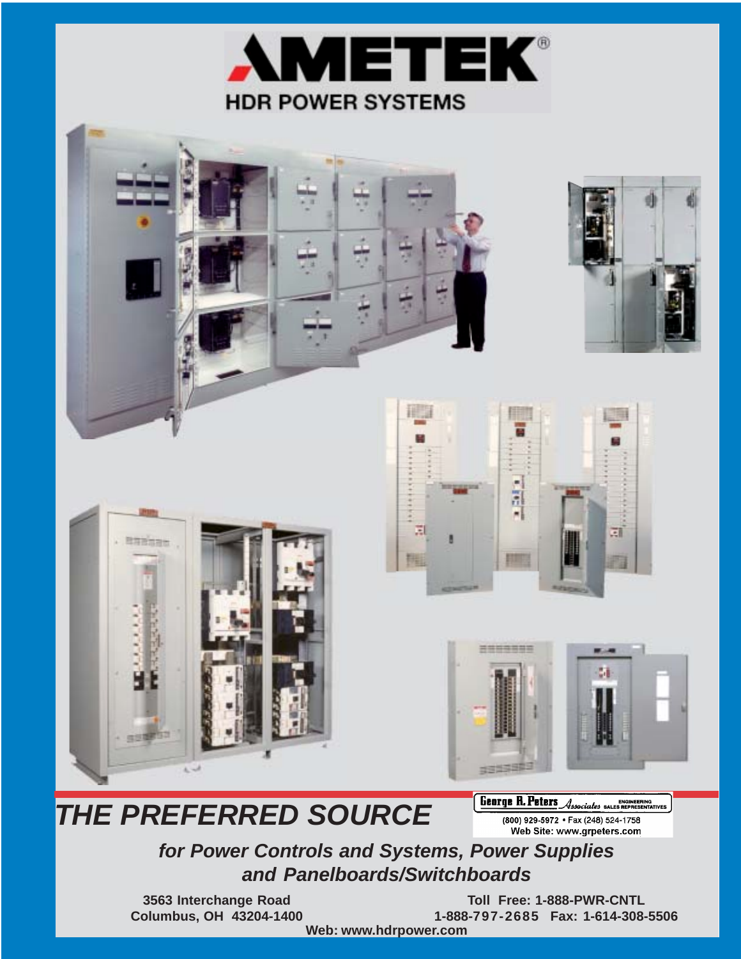









# *THE PREFERRED SOURCE*

à,

**BREEZE** 

George R. Peters Associates BALES REPRESENTATIVES (800) 929-5972 • Fax (248) 524-1758<br>Web Site: www.grpeters.com

*for Power Controls and Systems, Power Supplies and Panelboards/Switchboards*

**3563 Interchange Road Columbus, OH 43204-1400**

**Toll Free: 1-888-PWR-CNTL 1-888-797-2685 Fax: 1-614-308-5506**

**Web: www.hdrpower.com**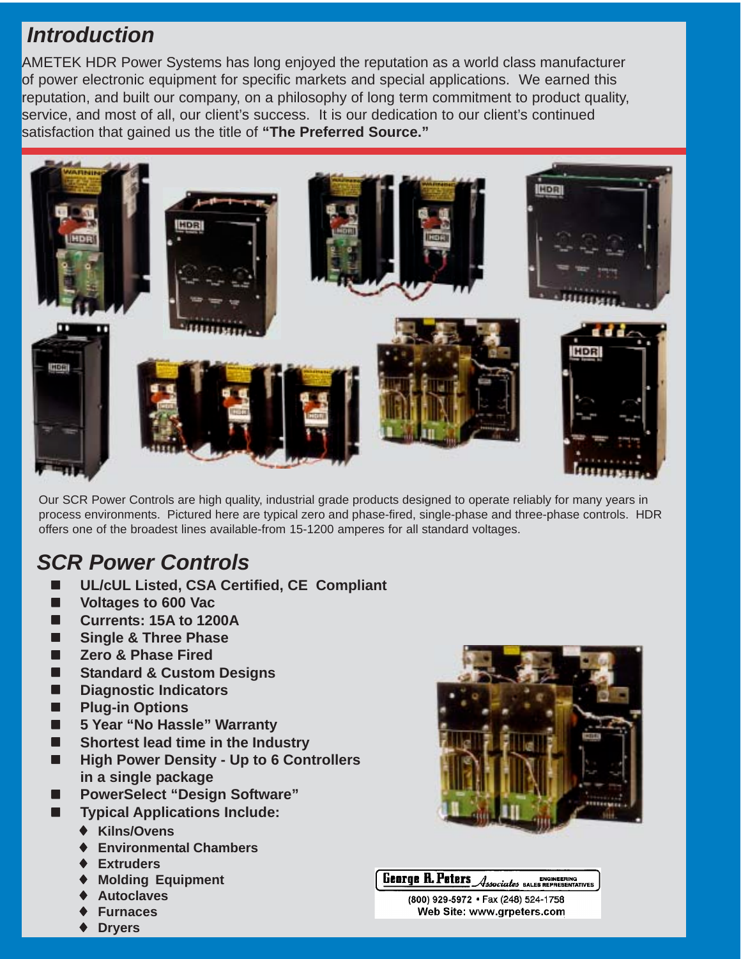# *Introduction*

AMETEK HDR Power Systems has long enjoyed the reputation as a world class manufacturer of power electronic equipment for specific markets and special applications. We earned this reputation, and built our company, on a philosophy of long term commitment to product quality, service, and most of all, our client's success. It is our dedication to our client's continued satisfaction that gained us the title of **"The Preferred Source."**



Our SCR Power Controls are high quality, industrial grade products designed to operate reliably for many years in process environments. Pictured here are typical zero and phase-fired, single-phase and three-phase controls. HDR offers one of the broadest lines available-from 15-1200 amperes for all standard voltages.

# *SCR Power Controls*

- ! **UL/cUL Listed, CSA Certified, CE Compliant**
- ! **Voltages to 600 Vac**
- **Currents: 15A to 1200A**
- $\blacksquare$  Single & Three Phase
- **E** Zero & Phase Fired
- ! **Standard & Custom Designs**
- ! **Diagnostic Indicators**
- $\blacksquare$  **Plug-in Options**
- 5 Year "No Hassle" Warranty
- ! **Shortest lead time in the Industry**
- High Power Density Up to 6 Controllers **in a single package**
- ! **PowerSelect "Design Software"**
- ! **Typical Applications Include:**
	- ♦ **Kilns/Ovens**
	- ♦ **Environmental Chambers**
	- ♦ **Extruders**
	- **Molding Equipment**
	- ♦ **Autoclaves**
	- **Furnaces**
	- ♦ **Dryers**





(800) 929-5972 · Fax (248) 524-1758 Web Site: www.grpeters.com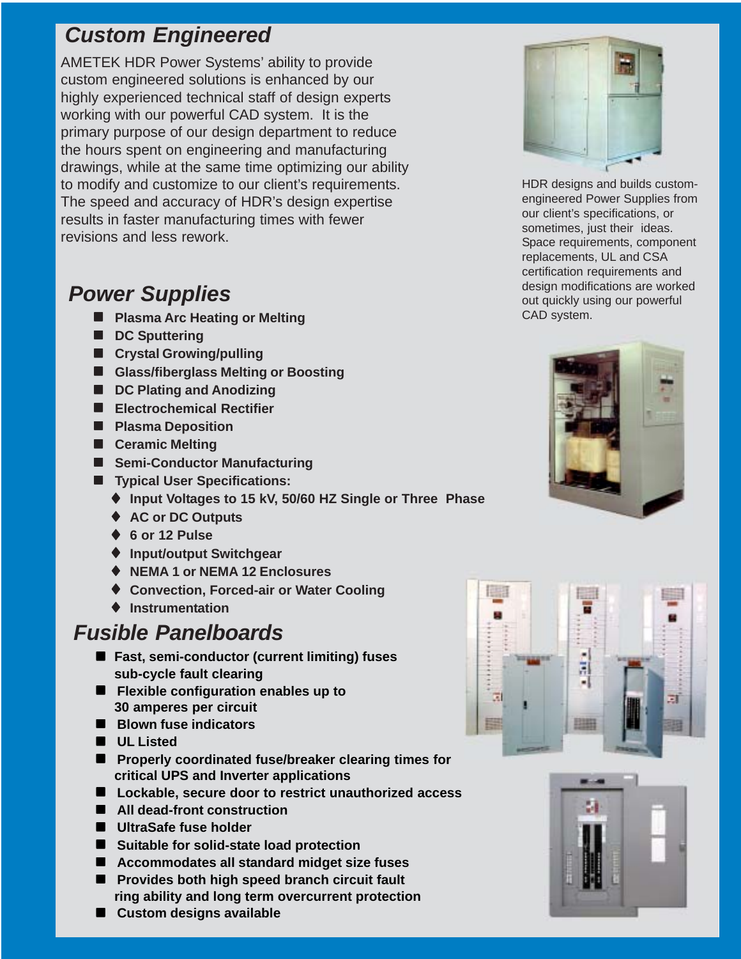# *Custom Engineered*

AMETEK HDR Power Systems' ability to provide custom engineered solutions is enhanced by our highly experienced technical staff of design experts working with our powerful CAD system. It is the primary purpose of our design department to reduce the hours spent on engineering and manufacturing drawings, while at the same time optimizing our ability to modify and customize to our client's requirements. The speed and accuracy of HDR's design expertise results in faster manufacturing times with fewer revisions and less rework.

### *Power Supplies*

- $\blacksquare$  **Plasma Arc Heating or Melting**
- **DC Sputtering**
- ! **Crystal Growing/pulling**
- ! **Glass/fiberglass Melting or Boosting**
- **DC Plating and Anodizing**
- **E** Electrochemical Rectifier
- ! **Plasma Deposition**
- **E** Ceramic Melting
- ! **Semi-Conductor Manufacturing**
- ! **Typical User Specifications:**
	- ♦ **Input Voltages to 15 kV, 50/60 HZ Single or Three Phase**
	- ♦ **AC or DC Outputs**
	- ♦ **6 or 12 Pulse**
	- ♦ **Input/output Switchgear**
	- ♦ **NEMA 1 or NEMA 12 Enclosures**
	- ♦ **Convection, Forced-air or Water Cooling**
	- ♦ **Instrumentation**

### *Fusible Panelboards*

- ! **Fast, semi-conductor (current limiting) fuses sub-cycle fault clearing**
- ! **Flexible configuration enables up to 30 amperes per circuit**
- $\blacksquare$  **Blown fuse indicators**
- ! **UL Listed**
- ! **Properly coordinated fuse/breaker clearing times for critical UPS and Inverter applications**
- ! **Lockable, secure door to restrict unauthorized access**
- All dead-front construction
- $\blacksquare$  UltraSafe fuse holder
- ! **Suitable for solid-state load protection**
- Accommodates all standard midget size fuses
- Provides both high speed branch circuit fault **ring ability and long term overcurrent protection**
- ! **Custom designs available**



HDR designs and builds customengineered Power Supplies from our client's specifications, or sometimes, just their ideas. Space requirements, component replacements, UL and CSA certification requirements and design modifications are worked out quickly using our powerful CAD system.